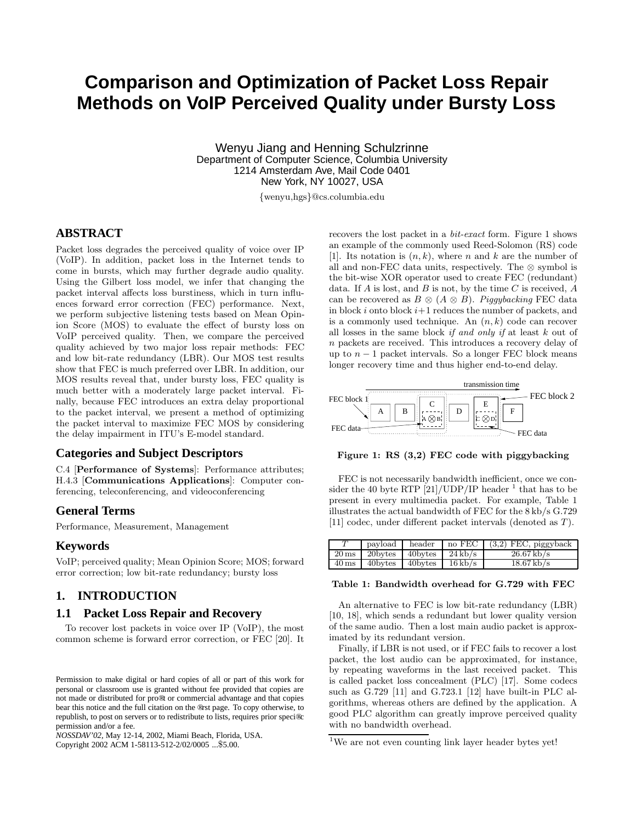# **Comparison and Optimization of Packet Loss Repair Methods on VoIP Perceived Quality under Bursty Loss**

Wenyu Jiang and Henning Schulzrinne Department of Computer Science, Columbia University 1214 Amsterdam Ave, Mail Code 0401 New York, NY 10027, USA

{wenyu,hgs}@cs.columbia.edu

# **ABSTRACT**

Packet loss degrades the perceived quality of voice over IP (VoIP). In addition, packet loss in the Internet tends to come in bursts, which may further degrade audio quality. Using the Gilbert loss model, we infer that changing the packet interval affects loss burstiness, which in turn influences forward error correction (FEC) performance. Next, we perform subjective listening tests based on Mean Opinion Score (MOS) to evaluate the effect of bursty loss on VoIP perceived quality. Then, we compare the perceived quality achieved by two major loss repair methods: FEC and low bit-rate redundancy (LBR). Our MOS test results show that FEC is much preferred over LBR. In addition, our MOS results reveal that, under bursty loss, FEC quality is much better with a moderately large packet interval. Finally, because FEC introduces an extra delay proportional to the packet interval, we present a method of optimizing the packet interval to maximize FEC MOS by considering the delay impairment in ITU's E-model standard.

# **Categories and Subject Descriptors**

C.4 [**Performance of Systems**]: Performance attributes; H.4.3 [**Communications Applications**]: Computer conferencing, teleconferencing, and videoconferencing

# **General Terms**

Performance, Measurement, Management

#### **Keywords**

VoIP; perceived quality; Mean Opinion Score; MOS; forward error correction; low bit-rate redundancy; bursty loss

# **1. INTRODUCTION**

#### **1.1 Packet Loss Repair and Recovery**

To recover lost packets in voice over IP (VoIP), the most common scheme is forward error correction, or FEC [20]. It

*NOSSDAV'02,* May 12-14, 2002, Miami Beach, Florida, USA. Copyright 2002 ACM 1-58113-512-2/02/0005 ...\$5.00.

recovers the lost packet in a bit-exact form. Figure 1 shows an example of the commonly used Reed-Solomon (RS) code [1]. Its notation is  $(n, k)$ , where n and k are the number of all and non-FEC data units, respectively. The ⊗ symbol is the bit-wise XOR operator used to create FEC (redundant) data. If  $A$  is lost, and  $B$  is not, by the time  $C$  is received,  $A$ can be recovered as  $B \otimes (A \otimes B)$ . Piggybacking FEC data in block i onto block  $i+1$  reduces the number of packets, and is a commonly used technique. An  $(n, k)$  code can recover all losses in the same block *if and only if* at least  $k$  out of n packets are received. This introduces a recovery delay of up to  $n-1$  packet intervals. So a longer FEC block means longer recovery time and thus higher end-to-end delay.



**Figure 1: RS (3,2) FEC code with piggybacking**

FEC is not necessarily bandwidth inefficient, once we consider the 40 byte RTP  $[21]/\text{UDP/IP header}^{-1}$  that has to be present in every multimedia packet. For example, Table 1 illustrates the actual bandwidth of FEC for the 8 kb/s G.729 [11] codec, under different packet intervals (denoted as T).

|                    |         |                        | $\alpha$ payload header no FEC (3,2) FEC, piggyback |
|--------------------|---------|------------------------|-----------------------------------------------------|
| $20 \,\rm ms$      | 20bytes | $40$ bytes $24$ kb/s   | $26.67 \, \text{kb/s}$                              |
| $40 \,\mathrm{ms}$ | 40bytes | $40$ bytes   $16$ kb/s | $18.67$ kb/s                                        |

#### **Table 1: Bandwidth overhead for G.729 with FEC**

An alternative to FEC is low bit-rate redundancy (LBR) [10, 18], which sends a redundant but lower quality version of the same audio. Then a lost main audio packet is approximated by its redundant version.

Finally, if LBR is not used, or if FEC fails to recover a lost packet, the lost audio can be approximated, for instance, by repeating waveforms in the last received packet. This is called packet loss concealment (PLC) [17]. Some codecs such as G.729 [11] and G.723.1 [12] have built-in PLC algorithms, whereas others are defined by the application. A good PLC algorithm can greatly improve perceived quality with no bandwidth overhead.

Permission to make digital or hard copies of all or part of this work for personal or classroom use is granted without fee provided that copies are not made or distributed for pro®t or commercial advantage and that copies bear this notice and the full citation on the ®rst page. To copy otherwise, to republish, to post on servers or to redistribute to lists, requires prior speci®c permission and/or a fee.

 $^1\rm{We}$  are not even counting link layer header bytes yet!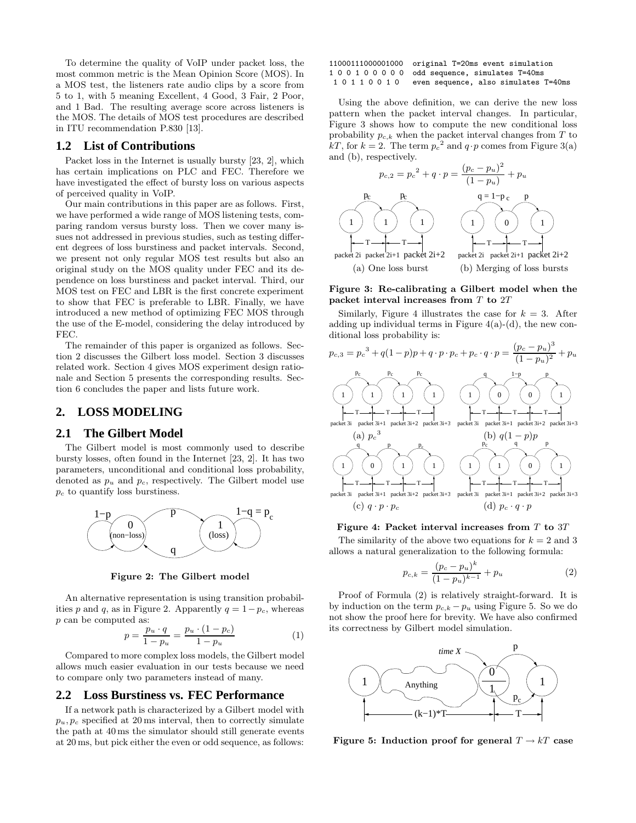To determine the quality of VoIP under packet loss, the most common metric is the Mean Opinion Score (MOS). In a MOS test, the listeners rate audio clips by a score from 5 to 1, with 5 meaning Excellent, 4 Good, 3 Fair, 2 Poor, and 1 Bad. The resulting average score across listeners is the MOS. The details of MOS test procedures are described in ITU recommendation P.830 [13].

#### **1.2 List of Contributions**

Packet loss in the Internet is usually bursty [23, 2], which has certain implications on PLC and FEC. Therefore we have investigated the effect of bursty loss on various aspects of perceived quality in VoIP.

Our main contributions in this paper are as follows. First, we have performed a wide range of MOS listening tests, comparing random versus bursty loss. Then we cover many issues not addressed in previous studies, such as testing different degrees of loss burstiness and packet intervals. Second, we present not only regular MOS test results but also an original study on the MOS quality under FEC and its dependence on loss burstiness and packet interval. Third, our MOS test on FEC and LBR is the first concrete experiment to show that FEC is preferable to LBR. Finally, we have introduced a new method of optimizing FEC MOS through the use of the E-model, considering the delay introduced by FEC.

The remainder of this paper is organized as follows. Section 2 discusses the Gilbert loss model. Section 3 discusses related work. Section 4 gives MOS experiment design rationale and Section 5 presents the corresponding results. Section 6 concludes the paper and lists future work.

# **2. LOSS MODELING**

#### **2.1 The Gilbert Model**

The Gilbert model is most commonly used to describe bursty losses, often found in the Internet [23, 2]. It has two parameters, unconditional and conditional loss probability, denoted as  $p_u$  and  $p_c$ , respectively. The Gilbert model use  $p_c$  to quantify loss burstiness.



**Figure 2: The Gilbert model**

An alternative representation is using transition probabilities p and q, as in Figure 2. Apparently  $q = 1-p_c$ , whereas p can be computed as:

$$
p = \frac{p_u \cdot q}{1 - p_u} = \frac{p_u \cdot (1 - p_c)}{1 - p_u} \tag{1}
$$

Compared to more complex loss models, the Gilbert model allows much easier evaluation in our tests because we need to compare only two parameters instead of many.

### **2.2 Loss Burstiness vs. FEC Performance**

If a network path is characterized by a Gilbert model with  $p_u, p_c$  specified at 20 ms interval, then to correctly simulate the path at 40 ms the simulator should still generate events at 20 ms, but pick either the even or odd sequence, as follows:

11000111000001000 original T=20ms event simulation 1 0 0 1 0 0 0 0 0 odd sequence, simulates T=40ms 1 0 1 1 0 0 1 0 even sequence, also simulates T=40ms

Using the above definition, we can derive the new loss pattern when the packet interval changes. In particular, Figure 3 shows how to compute the new conditional loss probability  $p_{c,k}$  when the packet interval changes from T to kT, for  $k = 2$ . The term  $p_c^2$  and  $q \cdot p$  comes from Figure 3(a) and (b), respectively.



#### **Figure 3: Re-calibrating a Gilbert model when the packet interval increases from** T **to** 2T

Similarly, Figure 4 illustrates the case for  $k = 3$ . After adding up individual terms in Figure  $4(a)-(d)$ , the new conditional loss probability is:



**Figure 4: Packet interval increases from** T **to** 3T

The similarity of the above two equations for  $k = 2$  and 3 allows a natural generalization to the following formula:

$$
p_{c,k} = \frac{(p_c - p_u)^k}{(1 - p_u)^{k-1}} + p_u \tag{2}
$$

Proof of Formula (2) is relatively straight-forward. It is by induction on the term  $p_{c,k} - p_u$  using Figure 5. So we do not show the proof here for brevity. We have also confirmed its correctness by Gilbert model simulation.



**Figure 5:** Induction proof for general  $T \rightarrow kT$  case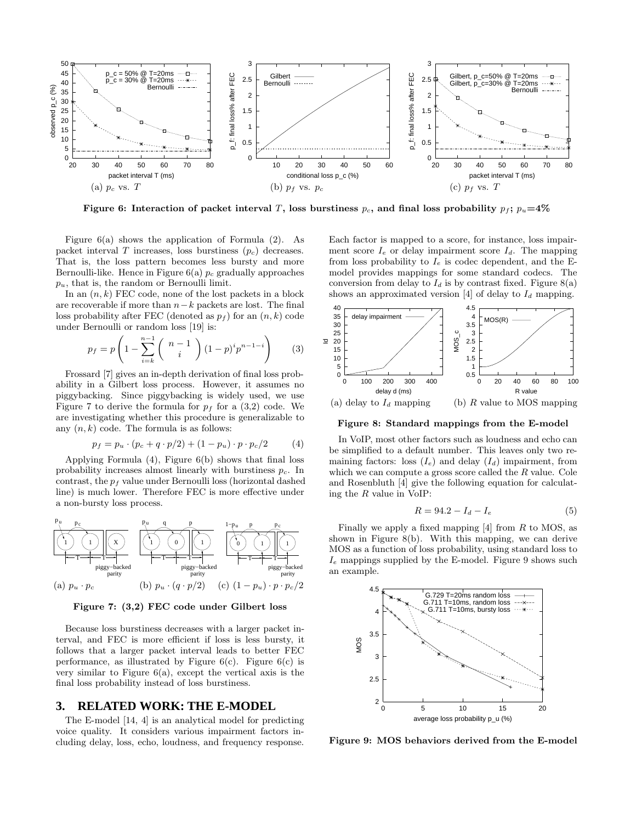

**Figure 6:** Interaction of packet interval T, loss burstiness  $p_c$ , and final loss probability  $p_f$ ;  $p_u=4\%$ 

Figure  $6(a)$  shows the application of Formula  $(2)$ . As packet interval  $T$  increases, loss burstiness  $(p_c)$  decreases. That is, the loss pattern becomes less bursty and more Bernoulli-like. Hence in Figure  $6(a)$   $p_c$  gradually approaches  $p_u$ , that is, the random or Bernoulli limit.

In an  $(n, k)$  FEC code, none of the lost packets in a block are recoverable if more than  $n-k$  packets are lost. The final loss probability after FEC (denoted as  $p_f$ ) for an  $(n, k)$  code under Bernoulli or random loss [19] is:

$$
p_f = p \left( 1 - \sum_{i=k}^{n-1} {n-1 \choose i} (1-p)^i p^{n-1-i} \right) \tag{3}
$$

Frossard [7] gives an in-depth derivation of final loss probability in a Gilbert loss process. However, it assumes no piggybacking. Since piggybacking is widely used, we use Figure 7 to derive the formula for  $p_f$  for a (3,2) code. We are investigating whether this procedure is generalizable to any  $(n, k)$  code. The formula is as follows:

$$
p_f = p_u \cdot (p_c + q \cdot p/2) + (1 - p_u) \cdot p \cdot p_c/2 \tag{4}
$$

Applying Formula (4), Figure 6(b) shows that final loss probability increases almost linearly with burstiness  $p_c$ . In contrast, the  $p_f$  value under Bernoulli loss (horizontal dashed line) is much lower. Therefore FEC is more effective under a non-bursty loss process.



**Figure 7: (3,2) FEC code under Gilbert loss**

Because loss burstiness decreases with a larger packet interval, and FEC is more efficient if loss is less bursty, it follows that a larger packet interval leads to better FEC performance, as illustrated by Figure  $6(c)$ . Figure  $6(c)$  is very similar to Figure  $6(a)$ , except the vertical axis is the final loss probability instead of loss burstiness.

## **3. RELATED WORK: THE E-MODEL**

The E-model [14, 4] is an analytical model for predicting voice quality. It considers various impairment factors including delay, loss, echo, loudness, and frequency response.

Each factor is mapped to a score, for instance, loss impairment score  $I_e$  or delay impairment score  $I_d$ . The mapping from loss probability to  $I_e$  is codec dependent, and the Emodel provides mappings for some standard codecs. The conversion from delay to  $I_d$  is by contrast fixed. Figure 8(a) shows an approximated version [4] of delay to  $I_d$  mapping.



**Figure 8: Standard mappings from the E-model**

In VoIP, most other factors such as loudness and echo can be simplified to a default number. This leaves only two remaining factors: loss  $(I_e)$  and delay  $(I_d)$  impairment, from which we can compute a gross score called the  $R$  value. Cole and Rosenbluth [4] give the following equation for calculating the R value in VoIP:

$$
R = 94.2 - I_d - I_e \tag{5}
$$

Finally we apply a fixed mapping  $[4]$  from R to MOS, as shown in Figure 8(b). With this mapping, we can derive MOS as a function of loss probability, using standard loss to  $I_e$  mappings supplied by the E-model. Figure 9 shows such an example.



**Figure 9: MOS behaviors derived from the E-model**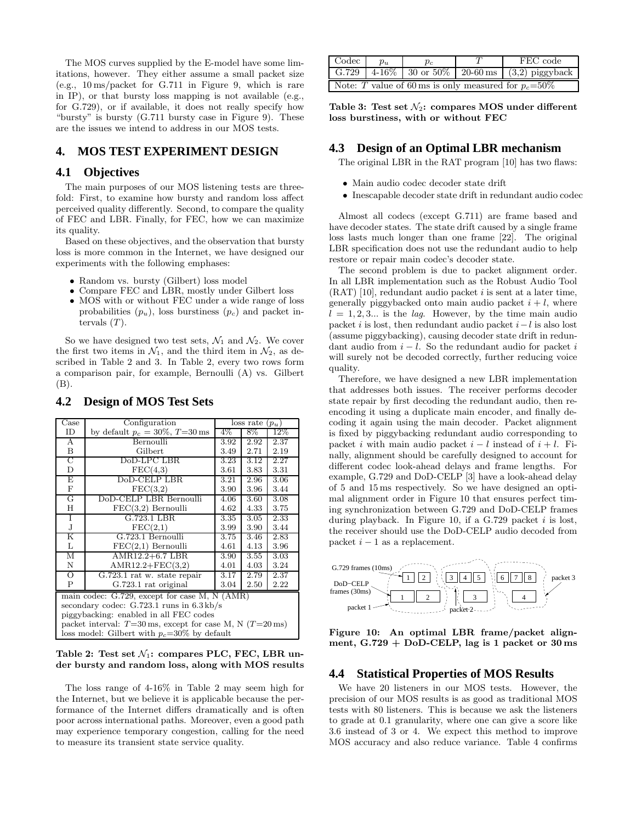The MOS curves supplied by the E-model have some limitations, however. They either assume a small packet size (e.g., 10 ms/packet for G.711 in Figure 9, which is rare in IP), or that bursty loss mapping is not available (e.g., for G.729), or if available, it does not really specify how "bursty" is bursty (G.711 bursty case in Figure 9). These are the issues we intend to address in our MOS tests.

# **4. MOS TEST EXPERIMENT DESIGN**

# **4.1 Objectives**

The main purposes of our MOS listening tests are threefold: First, to examine how bursty and random loss affect perceived quality differently. Second, to compare the quality of FEC and LBR. Finally, for FEC, how we can maximize its quality.

Based on these objectives, and the observation that bursty loss is more common in the Internet, we have designed our experiments with the following emphases:

- Random vs. bursty (Gilbert) loss model
- Compare FEC and LBR, mostly under Gilbert loss
- MOS with or without FEC under a wide range of loss probabilities  $(p_u)$ , loss burstiness  $(p_c)$  and packet intervals  $(T)$ .

So we have designed two test sets,  $\mathcal{N}_1$  and  $\mathcal{N}_2$ . We cover the first two items in  $\mathcal{N}_1$ , and the third item in  $\mathcal{N}_2$ , as described in Table 2 and 3. In Table 2, every two rows form a comparison pair, for example, Bernoulli (A) vs. Gilbert (B).

| $\operatorname{Case}$                                                           | Configuration                      | loss rate $(p_u)$ |      |      |  |
|---------------------------------------------------------------------------------|------------------------------------|-------------------|------|------|--|
| ID                                                                              | by default $p_c = 30\%, T = 30$ ms | $4\%$             | 8%   | 12%  |  |
| A                                                                               | Bernoulli                          | 3.92              | 2.92 | 2.37 |  |
| Β                                                                               | Gilbert                            | 3.49              | 2.71 | 2.19 |  |
| $\overline{\rm C}$                                                              | DoD-LPC LBR                        | 3.23              | 3.12 | 2.27 |  |
| D                                                                               | $\text{FEC}(4,3)$                  | 3.61              | 3.83 | 3.31 |  |
| Ε                                                                               | DoD-CELP LBR                       | 3.21              | 2.96 | 3.06 |  |
| $_{\rm F}$                                                                      | FEC(3,2)                           | 3.90              | 3.96 | 3.44 |  |
| G                                                                               | DoD-CELP LBR Bernoulli             | 4.06              | 3.60 | 3.08 |  |
| Η                                                                               | $\text{FEC}(3,2)$ Bernoulli        | 4.62              | 4.33 | 3.75 |  |
| Ι                                                                               | $G.723.1$ LBR                      | 3.35              | 3.05 | 2.33 |  |
| J                                                                               | $\text{FEC}(2,1)$                  | 3.99              | 3.90 | 3.44 |  |
| Κ                                                                               | G.723.1 Bernoulli                  | 3.75              | 3.46 | 2.83 |  |
| L                                                                               | $\text{FEC}(2,1)$ Bernoulli        | 4.61              | 4.13 | 3.96 |  |
| М                                                                               | $AMR12.2+6.7 LBR$                  | 3.90              | 3.55 | 3.03 |  |
| Ν                                                                               | $AMR12.2 + FEC(3,2)$               | 4.01              | 4.03 | 3.24 |  |
| $\overline{O}$                                                                  | G.723.1 rat w. state repair        | 3.17              | 2.79 | 2.37 |  |
| P                                                                               | G.723.1 rat original               | 3.04              | 2.50 | 2.22 |  |
| main codec: G.729, except for case M, N (AMR)                                   |                                    |                   |      |      |  |
| secondary codec: $G.723.1$ runs in $6.3 \text{ kb/s}$                           |                                    |                   |      |      |  |
| piggybacking: enabled in all FEC codes                                          |                                    |                   |      |      |  |
| packet interval: $T=30 \,\text{ms}$ , except for case M, N $(T=20 \,\text{ms})$ |                                    |                   |      |      |  |
| loss model: Gilbert with $p_c=30\%$ by default                                  |                                    |                   |      |      |  |

#### **4.2 Design of MOS Test Sets**

Table 2: Test set  $\mathcal{N}_1$ : compares PLC, FEC, LBR un**der bursty and random loss, along with MOS results**

The loss range of 4-16% in Table 2 may seem high for the Internet, but we believe it is applicable because the performance of the Internet differs dramatically and is often poor across international paths. Moreover, even a good path may experience temporary congestion, calling for the need to measure its transient state service quality.

| Codec                                                    | $p_u$ | $p_c$ |  | FEC code                                                  |  |
|----------------------------------------------------------|-------|-------|--|-----------------------------------------------------------|--|
|                                                          |       |       |  | G.729   $4-16\%$   30 or 50%   20-60 ms   (3,2) piggyback |  |
| Note: T value of 60 ms is only measured for $p_c = 50\%$ |       |       |  |                                                           |  |

Table 3: Test set  $\mathcal{N}_2$ : compares MOS under different **loss burstiness, with or without FEC**

# **4.3 Design of an Optimal LBR mechanism**

The original LBR in the RAT program [10] has two flaws:

- Main audio codec decoder state drift
- Inescapable decoder state drift in redundant audio codec

Almost all codecs (except G.711) are frame based and have decoder states. The state drift caused by a single frame loss lasts much longer than one frame [22]. The original LBR specification does not use the redundant audio to help restore or repair main codec's decoder state.

The second problem is due to packet alignment order. In all LBR implementation such as the Robust Audio Tool  $(RAT)$  [10], redundant audio packet *i* is sent at a later time, generally piggybacked onto main audio packet  $i + l$ , where  $l = 1, 2, 3...$  is the *lag*. However, by the time main audio packet *i* is lost, then redundant audio packet  $i - l$  is also lost (assume piggybacking), causing decoder state drift in redundant audio from  $i - l$ . So the redundant audio for packet i will surely not be decoded correctly, further reducing voice quality.

Therefore, we have designed a new LBR implementation that addresses both issues. The receiver performs decoder state repair by first decoding the redundant audio, then reencoding it using a duplicate main encoder, and finally decoding it again using the main decoder. Packet alignment is fixed by piggybacking redundant audio corresponding to packet i with main audio packet  $i - l$  instead of  $i + l$ . Finally, alignment should be carefully designed to account for different codec look-ahead delays and frame lengths. For example, G.729 and DoD-CELP [3] have a look-ahead delay of 5 and 15 ms respectively. So we have designed an optimal alignment order in Figure 10 that ensures perfect timing synchronization between G.729 and DoD-CELP frames during playback. In Figure 10, if a G.729 packet  $i$  is lost, the receiver should use the DoD-CELP audio decoded from packet  $i - 1$  as a replacement.



**Figure 10: An optimal LBR frame/packet alignment, G.729 + DoD-CELP, lag is 1 packet or 30 ms**

# **4.4 Statistical Properties of MOS Results**

We have 20 listeners in our MOS tests. However, the precision of our MOS results is as good as traditional MOS tests with 80 listeners. This is because we ask the listeners to grade at 0.1 granularity, where one can give a score like 3.6 instead of 3 or 4. We expect this method to improve MOS accuracy and also reduce variance. Table 4 confirms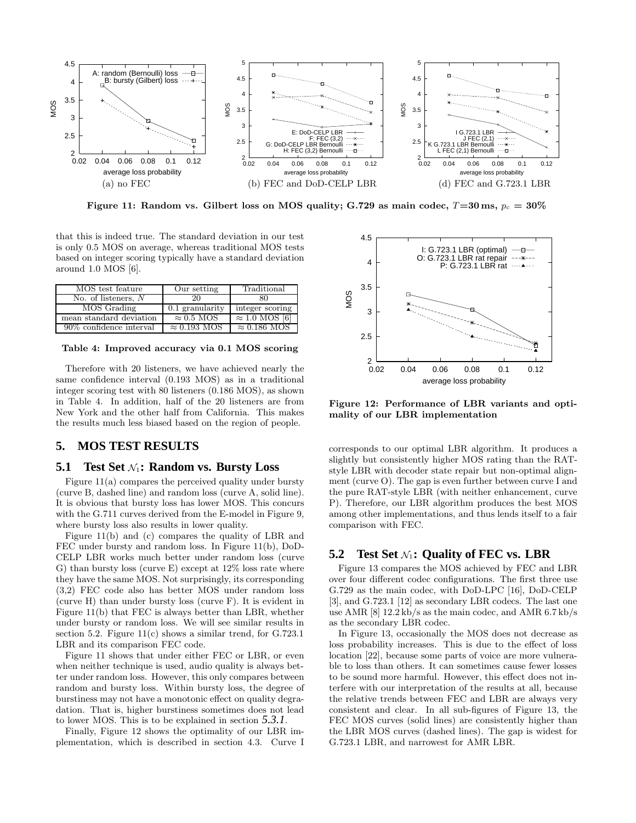

**Figure 11:** Random vs. Gilbert loss on MOS quality; G.729 as main codec,  $T=30 \text{ ms}$ ,  $p_c = 30\%$ 

that this is indeed true. The standard deviation in our test is only 0.5 MOS on average, whereas traditional MOS tests based on integer scoring typically have a standard deviation around 1.0 MOS [6].

| MOS test feature                       | Our setting                 | Traditional           |
|----------------------------------------|-----------------------------|-----------------------|
| $\overline{\text{No}}$ of listeners, N | ንበ                          | 80                    |
| MOS Grading                            | 0.1 granularity             | integer scoring       |
| mean standard deviation                | $\approx 0.5$ MOS           | $\approx 1.0$ MOS [6] |
| 90\% confidence interval               | $\approx 0.193 \text{ MOS}$ | $\approx 0.186$ MOS   |

**Table 4: Improved accuracy via 0.1 MOS scoring**

Therefore with 20 listeners, we have achieved nearly the same confidence interval (0.193 MOS) as in a traditional integer scoring test with 80 listeners (0.186 MOS), as shown in Table 4. In addition, half of the 20 listeners are from New York and the other half from California. This makes the results much less biased based on the region of people.

# **5. MOS TEST RESULTS**

## **5.1 Test Set**  $\mathcal{N}_1$ : **Random vs. Bursty Loss**

Figure 11(a) compares the perceived quality under bursty (curve B, dashed line) and random loss (curve A, solid line). It is obvious that bursty loss has lower MOS. This concurs with the G.711 curves derived from the E-model in Figure 9, where bursty loss also results in lower quality.

Figure 11(b) and (c) compares the quality of LBR and FEC under bursty and random loss. In Figure 11(b), DoD-CELP LBR works much better under random loss (curve G) than bursty loss (curve E) except at  $12\%$  loss rate where they have the same MOS. Not surprisingly, its corresponding (3,2) FEC code also has better MOS under random loss (curve H) than under bursty loss (curve F). It is evident in Figure 11(b) that FEC is always better than LBR, whether under bursty or random loss. We will see similar results in section 5.2. Figure  $11(c)$  shows a similar trend, for G.723.1 LBR and its comparison FEC code.

Figure 11 shows that under either FEC or LBR, or even when neither technique is used, audio quality is always better under random loss. However, this only compares between random and bursty loss. Within bursty loss, the degree of burstiness may not have a monotonic effect on quality degradation. That is, higher burstiness sometimes does not lead to lower MOS. This is to be explained in section *5.3.1*.

Finally, Figure 12 shows the optimality of our LBR implementation, which is described in section 4.3. Curve I



**Figure 12: Performance of LBR variants and optimality of our LBR implementation**

corresponds to our optimal LBR algorithm. It produces a slightly but consistently higher MOS rating than the RATstyle LBR with decoder state repair but non-optimal alignment (curve O). The gap is even further between curve I and the pure RAT-style LBR (with neither enhancement, curve P). Therefore, our LBR algorithm produces the best MOS among other implementations, and thus lends itself to a fair comparison with FEC.

# **5.2** Test Set  $N_1$ : Quality of FEC vs. LBR

Figure 13 compares the MOS achieved by FEC and LBR over four different codec configurations. The first three use G.729 as the main codec, with DoD-LPC [16], DoD-CELP [3], and G.723.1 [12] as secondary LBR codecs. The last one use AMR [8] 12.2 kb/s as the main codec, and AMR 6.7 kb/s as the secondary LBR codec.

In Figure 13, occasionally the MOS does not decrease as loss probability increases. This is due to the effect of loss location [22], because some parts of voice are more vulnerable to loss than others. It can sometimes cause fewer losses to be sound more harmful. However, this effect does not interfere with our interpretation of the results at all, because the relative trends between FEC and LBR are always very consistent and clear. In all sub-figures of Figure 13, the FEC MOS curves (solid lines) are consistently higher than the LBR MOS curves (dashed lines). The gap is widest for G.723.1 LBR, and narrowest for AMR LBR.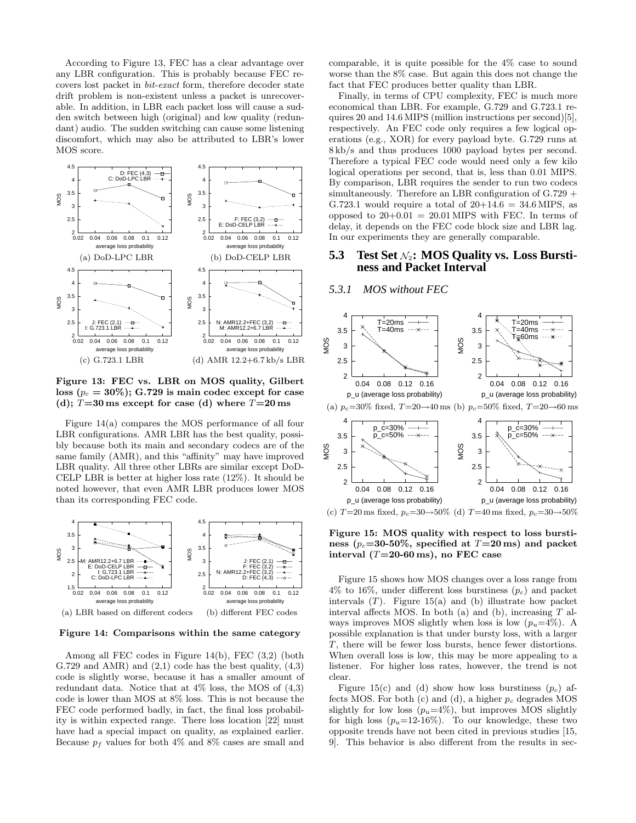According to Figure 13, FEC has a clear advantage over any LBR configuration. This is probably because FEC recovers lost packet in bit-exact form, therefore decoder state drift problem is non-existent unless a packet is unrecoverable. In addition, in LBR each packet loss will cause a sudden switch between high (original) and low quality (redundant) audio. The sudden switching can cause some listening discomfort, which may also be attributed to LBR's lower MOS score.



**Figure 13: FEC vs. LBR on MOS quality, Gilbert**  $\cos (p_c = 30\%)$ ; G.729 is main codec except for case (d);  $T=30$  ms except for case (d) where  $T=20$  ms

Figure 14(a) compares the MOS performance of all four LBR configurations. AMR LBR has the best quality, possibly because both its main and secondary codecs are of the same family (AMR), and this "affinity" may have improved LBR quality. All three other LBRs are similar except DoD-CELP LBR is better at higher loss rate (12%). It should be noted however, that even AMR LBR produces lower MOS than its corresponding FEC code.



(a) LBR based on different codecs (b) different FEC codes

#### **Figure 14: Comparisons within the same category**

Among all FEC codes in Figure 14(b), FEC (3,2) (both G.729 and AMR) and  $(2,1)$  code has the best quality,  $(4,3)$ code is slightly worse, because it has a smaller amount of redundant data. Notice that at  $4\%$  loss, the MOS of  $(4,3)$ code is lower than MOS at 8% loss. This is not because the FEC code performed badly, in fact, the final loss probability is within expected range. There loss location [22] must have had a special impact on quality, as explained earlier. Because  $p_f$  values for both 4% and 8% cases are small and

comparable, it is quite possible for the  $4\%$  case to sound worse than the 8% case. But again this does not change the fact that FEC produces better quality than LBR.

Finally, in terms of CPU complexity, FEC is much more economical than LBR. For example, G.729 and G.723.1 requires 20 and 14.6 MIPS (million instructions per second)[5], respectively. An FEC code only requires a few logical operations (e.g., XOR) for every payload byte. G.729 runs at 8 kb/s and thus produces 1000 payload bytes per second. Therefore a typical FEC code would need only a few kilo logical operations per second, that is, less than 0.01 MIPS. By comparison, LBR requires the sender to run two codecs simultaneously. Therefore an LBR configuration of G.729 + G.723.1 would require a total of  $20+14.6 = 34.6$  MIPS, as opposed to  $20+0.01 = 20.01$  MIPS with FEC. In terms of delay, it depends on the FEC code block size and LBR lag. In our experiments they are generally comparable.

# **5.3 Test Set** N2**: MOS Quality vs. Loss Burstiness and Packet Interval**

#### *5.3.1 MOS without FEC*



**Figure 15: MOS quality with respect to loss bursti**ness ( $p_c$ =30-50%, specified at  $T=20$  ms) and packet **interval (**T**=20-60 ms), no FEC case**

Figure 15 shows how MOS changes over a loss range from  $4\%$  to  $16\%$ , under different loss burstiness  $(p_c)$  and packet intervals  $(T)$ . Figure 15(a) and (b) illustrate how packet interval affects MOS. In both (a) and (b), increasing  $T$  always improves MOS slightly when loss is low  $(p_u=4\%)$ . A possible explanation is that under bursty loss, with a larger T, there will be fewer loss bursts, hence fewer distortions. When overall loss is low, this may be more appealing to a listener. For higher loss rates, however, the trend is not clear.

Figure 15(c) and (d) show how loss burstiness  $(p_c)$  affects MOS. For both  $(c)$  and  $(d)$ , a higher  $p_c$  degrades MOS slightly for low loss  $(p_u=4\%)$ , but improves MOS slightly for high loss  $(p_u=12-16\%)$ . To our knowledge, these two opposite trends have not been cited in previous studies [15, 9]. This behavior is also different from the results in sec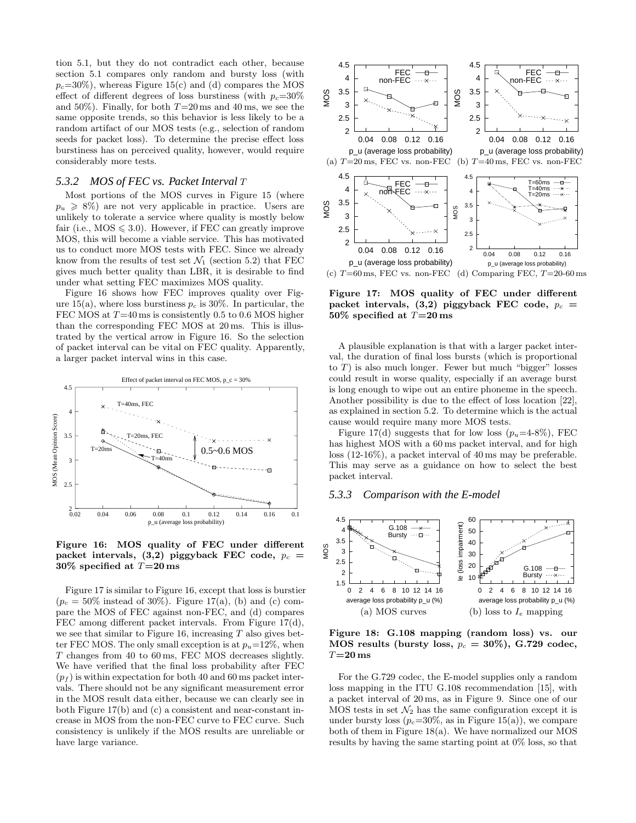tion 5.1, but they do not contradict each other, because section 5.1 compares only random and bursty loss (with  $p_c=30\%)$ , whereas Figure 15(c) and (d) compares the MOS effect of different degrees of loss burstiness (with  $p_c=30\%$ and 50%). Finally, for both  $T=20 \text{ ms}$  and 40 ms, we see the same opposite trends, so this behavior is less likely to be a random artifact of our MOS tests (e.g., selection of random seeds for packet loss). To determine the precise effect loss burstiness has on perceived quality, however, would require considerably more tests.

#### *5.3.2 MOS of FEC vs. Packet Interval* T

Most portions of the MOS curves in Figure 15 (where  $p_u \geq 8\%$ ) are not very applicable in practice. Users are unlikely to tolerate a service where quality is mostly below fair (i.e.,  $MOS \le 3.0$ ). However, if FEC can greatly improve MOS, this will become a viable service. This has motivated us to conduct more MOS tests with FEC. Since we already know from the results of test set  $\mathcal{N}_1$  (section 5.2) that FEC gives much better quality than LBR, it is desirable to find under what setting FEC maximizes MOS quality.

Figure 16 shows how FEC improves quality over Figure 15(a), where loss burstiness  $p_c$  is 30%. In particular, the FEC MOS at  $T=40$  ms is consistently 0.5 to 0.6 MOS higher than the corresponding FEC MOS at 20 ms. This is illustrated by the vertical arrow in Figure 16. So the selection of packet interval can be vital on FEC quality. Apparently, a larger packet interval wins in this case.



**Figure 16: MOS quality of FEC under different** packet intervals,  $(3,2)$  piggyback FEC code,  $p_c$  = **30% specified at** T**=20 ms**

Figure 17 is similar to Figure 16, except that loss is burstier  $(p_c = 50\% \text{ instead of } 30\%).$  Figure 17(a), (b) and (c) compare the MOS of FEC against non-FEC, and (d) compares FEC among different packet intervals. From Figure 17(d), we see that similar to Figure 16, increasing  $T$  also gives better FEC MOS. The only small exception is at  $p_u=12\%$ , when T changes from 40 to 60 ms, FEC MOS decreases slightly. We have verified that the final loss probability after FEC  $(p_f)$  is within expectation for both 40 and 60 ms packet intervals. There should not be any significant measurement error in the MOS result data either, because we can clearly see in both Figure 17(b) and (c) a consistent and near-constant increase in MOS from the non-FEC curve to FEC curve. Such consistency is unlikely if the MOS results are unreliable or have large variance.



**Figure 17: MOS quality of FEC under different** packet intervals,  $(3,2)$  piggyback FEC code,  $p_c$  = **50% specified at** T**=20 ms**

A plausible explanation is that with a larger packet interval, the duration of final loss bursts (which is proportional to  $T$ ) is also much longer. Fewer but much "bigger" losses could result in worse quality, especially if an average burst is long enough to wipe out an entire phoneme in the speech. Another possibility is due to the effect of loss location [22], as explained in section 5.2. To determine which is the actual cause would require many more MOS tests.

Figure 17(d) suggests that for low loss  $(p_u=4-8\%)$ , FEC has highest MOS with a 60 ms packet interval, and for high loss (12-16%), a packet interval of 40 ms may be preferable. This may serve as a guidance on how to select the best packet interval.

## *5.3.3 Comparison with the E-model*



**Figure 18: G.108 mapping (random loss) vs. our** MOS results (bursty loss,  $p_c = 30\%$ ), G.729 codec, T**=20 ms**

For the G.729 codec, the E-model supplies only a random loss mapping in the ITU G.108 recommendation [15], with a packet interval of 20 ms, as in Figure 9. Since one of our MOS tests in set  $\mathcal{N}_2$  has the same configuration except it is under bursty loss ( $p_c$ =30%, as in Figure 15(a)), we compare both of them in Figure 18(a). We have normalized our MOS results by having the same starting point at 0% loss, so that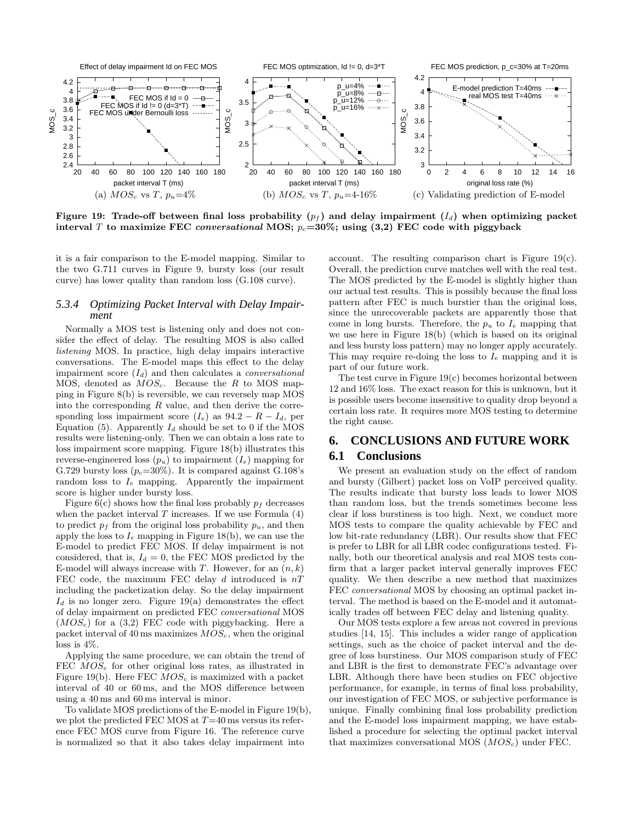

Figure 19: Trade-off between final loss probability  $(p_f)$  and delay impairment  $(I_d)$  when optimizing packet **interval** T **to** maximize FEC *conversational* MOS;  $p_c=30\%$ ; using (3,2) FEC code with piggyback

it is a fair comparison to the E-model mapping. Similar to the two G.711 curves in Figure 9, bursty loss (our result curve) has lower quality than random loss (G.108 curve).

#### *5.3.4 Optimizing Packet Interval with Delay Impairment*

Normally a MOS test is listening only and does not consider the effect of delay. The resulting MOS is also called listening MOS. In practice, high delay impairs interactive conversations. The E-model maps this effect to the delay impairment score  $(I_d)$  and then calculates a *conversational* MOS, denoted as  $MOS_c$ . Because the R to MOS mapping in Figure 8(b) is reversible, we can reversely map MOS into the corresponding  $R$  value, and then derive the corresponding loss impairment score  $(I_e)$  as  $94.2 - R - I_d$ , per Equation (5). Apparently  $I_d$  should be set to 0 if the MOS results were listening-only. Then we can obtain a loss rate to loss impairment score mapping. Figure 18(b) illustrates this reverse-engineered loss  $(p_u)$  to impairment  $(I_e)$  mapping for G.729 bursty loss ( $p_c$ =30%). It is compared against G.108's random loss to  $I_e$  mapping. Apparently the impairment score is higher under bursty loss.

Figure 6(c) shows how the final loss probably  $p_f$  decreases when the packet interval  $T$  increases. If we use Formula  $(4)$ to predict  $p_f$  from the original loss probability  $p_u$ , and then apply the loss to  $I_e$  mapping in Figure 18(b), we can use the E-model to predict FEC MOS. If delay impairment is not considered, that is,  $I_d = 0$ , the FEC MOS predicted by the E-model will always increase with T. However, for an  $(n, k)$ FEC code, the maximum FEC delay d introduced is  $nT$ including the packetization delay. So the delay impairment  $I_d$  is no longer zero. Figure 19(a) demonstrates the effect of delay impairment on predicted FEC conversational MOS  $(MOS<sub>c</sub>)$  for a (3,2) FEC code with piggybacking. Here a packet interval of 40 ms maximizes  $MOS_c$ , when the original loss is 4%.

Applying the same procedure, we can obtain the trend of FEC  $MOS_c$  for other original loss rates, as illustrated in Figure 19(b). Here FEC  $MOS_c$  is maximized with a packet interval of 40 or 60 ms, and the MOS difference between using a 40 ms and 60 ms interval is minor.

To validate MOS predictions of the E-model in Figure 19(b), we plot the predicted FEC MOS at  $T=40$  ms versus its reference FEC MOS curve from Figure 16. The reference curve is normalized so that it also takes delay impairment into

account. The resulting comparison chart is Figure 19(c). Overall, the prediction curve matches well with the real test. The MOS predicted by the E-model is slightly higher than our actual test results. This is possibly because the final loss pattern after FEC is much burstier than the original loss, since the unrecoverable packets are apparently those that come in long bursts. Therefore, the  $p_u$  to  $I_e$  mapping that we use here in Figure 18(b) (which is based on its original and less bursty loss pattern) may no longer apply accurately. This may require re-doing the loss to  $I_e$  mapping and it is part of our future work.

The test curve in Figure  $19(c)$  becomes horizontal between 12 and 16% loss. The exact reason for this is unknown, but it is possible users become insensitive to quality drop beyond a certain loss rate. It requires more MOS testing to determine the right cause.

# **6. CONCLUSIONS AND FUTURE WORK 6.1 Conclusions**

We present an evaluation study on the effect of random and bursty (Gilbert) packet loss on VoIP perceived quality. The results indicate that bursty loss leads to lower MOS than random loss, but the trends sometimes become less clear if loss burstiness is too high. Next, we conduct more MOS tests to compare the quality achievable by FEC and low bit-rate redundancy (LBR). Our results show that FEC is prefer to LBR for all LBR codec configurations tested. Finally, both our theoretical analysis and real MOS tests confirm that a larger packet interval generally improves FEC quality. We then describe a new method that maximizes FEC conversational MOS by choosing an optimal packet interval. The method is based on the E-model and it automatically trades off between FEC delay and listening quality.

Our MOS tests explore a few areas not covered in previous studies [14, 15]. This includes a wider range of application settings, such as the choice of packet interval and the degree of loss burstiness. Our MOS comparison study of FEC and LBR is the first to demonstrate FEC's advantage over LBR. Although there have been studies on FEC objective performance, for example, in terms of final loss probability, our investigation of FEC MOS, or subjective performance is unique. Finally combining final loss probability prediction and the E-model loss impairment mapping, we have established a procedure for selecting the optimal packet interval that maximizes conversational MOS  $(MOS<sub>c</sub>)$  under FEC.